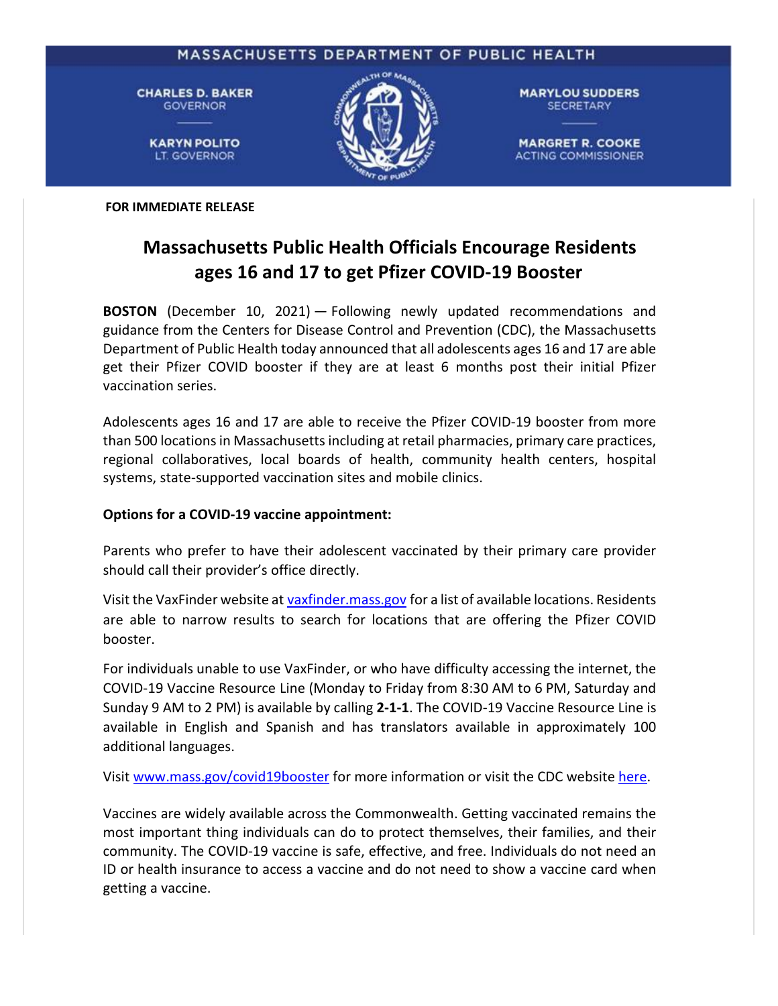

**FOR IMMEDIATE RELEASE**

## **Massachusetts Public Health Officials Encourage Residents ages 16 and 17 to get Pfizer COVID-19 Booster**

**BOSTON** (December 10, 2021) — Following newly updated recommendations and guidance from the Centers for Disease Control and Prevention (CDC), the Massachusetts Department of Public Health today announced that all adolescents ages 16 and 17 are able get their Pfizer COVID booster if they are at least 6 months post their initial Pfizer vaccination series.

Adolescents ages 16 and 17 are able to receive the Pfizer COVID-19 booster from more than 500 locations in Massachusetts including at retail pharmacies, primary care practices, regional collaboratives, local boards of health, community health centers, hospital systems, state-supported vaccination sites and mobile clinics.

## **Options for a COVID-19 vaccine appointment:**

Parents who prefer to have their adolescent vaccinated by their primary care provider should call their provider's office directly.

Visit the VaxFinder website at [vaxfinder.mass.gov](https://vaxfinder.mass.gov/) for a list of available locations. Residents are able to narrow results to search for locations that are offering the Pfizer COVID booster.

For individuals unable to use VaxFinder, or who have difficulty accessing the internet, the COVID-19 Vaccine Resource Line (Monday to Friday from 8:30 AM to 6 PM, Saturday and Sunday 9 AM to 2 PM) is available by calling **2-1-1**. The COVID-19 Vaccine Resource Line is available in English and Spanish and has translators available in approximately 100 additional languages.

Visit [www.mass.gov/covid19booster](http://www.mass.gov/covid19booster) for more information or visit the CDC website [here.](https://www.cdc.gov/coronavirus/2019-ncov/vaccines/booster-shot.html)

Vaccines are widely available across the Commonwealth. Getting vaccinated remains the most important thing individuals can do to protect themselves, their families, and their community. The COVID-19 vaccine is safe, effective, and free. Individuals do not need an ID or health insurance to access a vaccine and do not need to show a vaccine card when getting a vaccine.